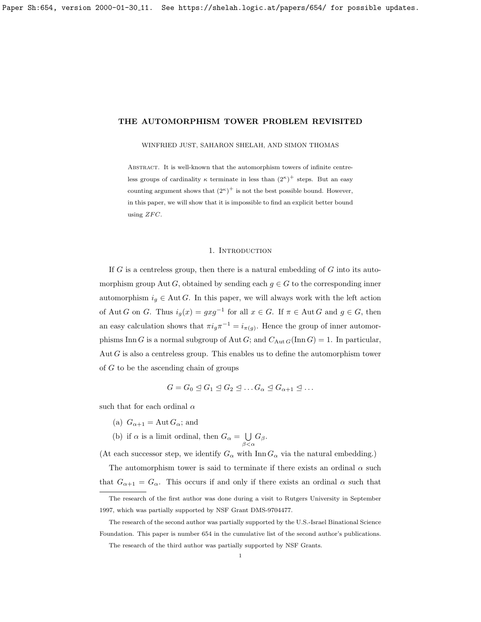<span id="page-0-0"></span>WINFRIED JUST, SAHARON SHELAH, AND SIMON THOMAS

ABSTRACT. It is well-known that the automorphism towers of infinite centreless groups of cardinality  $\kappa$  terminate in less than  $(2^{\kappa})^+$  steps. But an easy counting argument shows that  $(2^{\kappa})^+$  is not the best possible bound. However, in this paper, we will show that it is impossible to find an explicit better bound using  $ZFC$ .

# 1. INTRODUCTION

If  $G$  is a centreless group, then there is a natural embedding of  $G$  into its automorphism group Aut G, obtained by sending each  $g \in G$  to the corresponding inner automorphism  $i_q \in \text{Aut } G$ . In this paper, we will always work with the left action of Aut G on G. Thus  $i_g(x) = gxg^{-1}$  for all  $x \in G$ . If  $\pi \in \text{Aut } G$  and  $g \in G$ , then an easy calculation shows that  $\pi i_g \pi^{-1} = i_{\pi(g)}$ . Hence the group of inner automorphisms Inn G is a normal subgroup of Aut G; and  $C_{\text{Aut }G}(\text{Inn }G) = 1$ . In particular, Aut  $G$  is also a centreless group. This enables us to define the automorphism tower of G to be the ascending chain of groups

$$
G = G_0 \trianglelefteq G_1 \trianglelefteq G_2 \trianglelefteq \ldots G_{\alpha} \trianglelefteq G_{\alpha+1} \trianglelefteq \ldots
$$

such that for each ordinal  $\alpha$ 

- (a)  $G_{\alpha+1} = \text{Aut } G_{\alpha}$ ; and
- (b) if  $\alpha$  is a limit ordinal, then  $G_{\alpha} = \bigcup$  $\bigcup_{\beta<\alpha}G_{\beta}.$

(At each successor step, we identify  $G_{\alpha}$  with Inn  $G_{\alpha}$  via the natural embedding.)

The automorphism tower is said to terminate if there exists an ordinal  $\alpha$  such that  $G_{\alpha+1} = G_{\alpha}$ . This occurs if and only if there exists an ordinal  $\alpha$  such that

The research of the second author was partially supported by the U.S.-Israel Binational Science Foundation. This paper is number 654 in the cumulative list of the second author's publications.

The research of the first author was done during a visit to Rutgers University in September 1997, which was partially supported by NSF Grant DMS-9704477.

The research of the third author was partially supported by NSF Grants.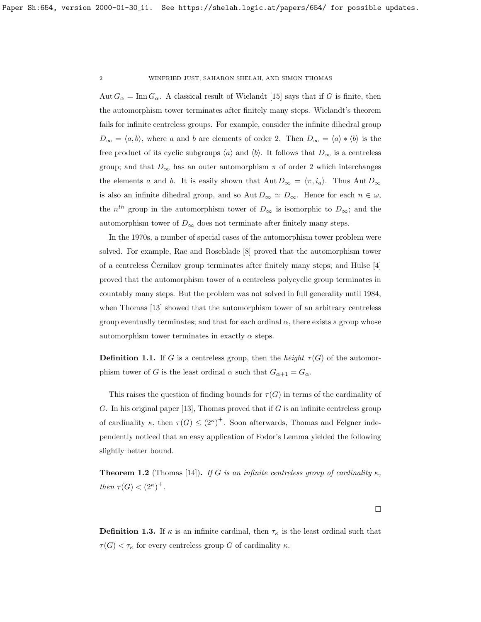Aut  $G_{\alpha} = \text{Inn } G_{\alpha}$ . A classical result of Wielandt [\[15\]](#page-24-0) says that if G is finite, then the automorphism tower terminates after finitely many steps. Wielandt's theorem fails for infinite centreless groups. For example, consider the infinite dihedral group  $D_{\infty} = \langle a, b \rangle$ , where a and b are elements of order 2. Then  $D_{\infty} = \langle a \rangle * \langle b \rangle$  is the free product of its cyclic subgroups  $\langle a \rangle$  and  $\langle b \rangle$ . It follows that  $D_{\infty}$  is a centreless group; and that  $D_{\infty}$  has an outer automorphism  $\pi$  of order 2 which interchanges the elements a and b. It is easily shown that  $Aut D_{\infty} = \langle \pi, i_a \rangle$ . Thus Aut  $D_{\infty}$ is also an infinite dihedral group, and so Aut  $D_{\infty} \simeq D_{\infty}$ . Hence for each  $n \in \omega$ , the  $n^{th}$  group in the automorphism tower of  $D_{\infty}$  is isomorphic to  $D_{\infty}$ ; and the automorphism tower of  $D_{\infty}$  does not terminate after finitely many steps.

In the 1970s, a number of special cases of the automorphism tower problem were solved. For example, Rae and Roseblade [\[8\]](#page-24-1) proved that the automorphism tower of a centreless Cernikov group terminates after finitely many steps; and Hulse  $[4]$ proved that the automorphism tower of a centreless polycyclic group terminates in countably many steps. But the problem was not solved in full generality until 1984, when Thomas [\[13\]](#page-24-2) showed that the automorphism tower of an arbitrary centreless group eventually terminates; and that for each ordinal  $\alpha$ , there exists a group whose automorphism tower terminates in exactly  $\alpha$  steps.

**Definition 1.1.** If G is a centreless group, then the height  $\tau(G)$  of the automorphism tower of G is the least ordinal  $\alpha$  such that  $G_{\alpha+1} = G_{\alpha}$ .

This raises the question of finding bounds for  $\tau(G)$  in terms of the cardinality of G. In his original paper [\[13\]](#page-24-2), Thomas proved that if  $G$  is an infinite centreless group of cardinality  $\kappa$ , then  $\tau(G) \leq (2^{\kappa})^+$ . Soon afterwards, Thomas and Felgner independently noticed that an easy application of Fodor's Lemma yielded the following slightly better bound.

<span id="page-1-0"></span>**Theorem 1.2** (Thomas [\[14\]](#page-24-3)). If G is an infinite centreless group of cardinality  $\kappa$ , then  $\tau(G) < (2^{\kappa})^+$ .

 $\Box$ 

**Definition 1.3.** If  $\kappa$  is an infinite cardinal, then  $\tau_{\kappa}$  is the least ordinal such that  $\tau(G) < \tau_{\kappa}$  for every centreless group G of cardinality  $\kappa$ .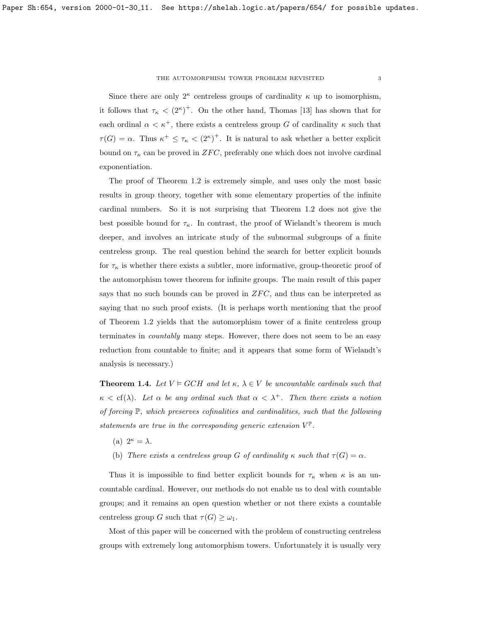Since there are only  $2^{\kappa}$  centreless groups of cardinality  $\kappa$  up to isomorphism, it follows that  $\tau_{\kappa} < (2^{\kappa})^+$ . On the other hand, Thomas [\[13\]](#page-24-2) has shown that for each ordinal  $\alpha < \kappa^+$ , there exists a centreless group G of cardinality  $\kappa$  such that  $\tau(G) = \alpha$ . Thus  $\kappa^+ \leq \tau_{\kappa} < (2^{\kappa})^+$ . It is natural to ask whether a better explicit bound on  $\tau_{\kappa}$  can be proved in  $ZFC$ , preferably one which does not involve cardinal exponentiation.

The proof of Theorem [1.2](#page-1-0) is extremely simple, and uses only the most basic results in group theory, together with some elementary properties of the infinite cardinal numbers. So it is not surprising that Theorem [1.2](#page-1-0) does not give the best possible bound for  $\tau_{\kappa}$ . In contrast, the proof of Wielandt's theorem is much deeper, and involves an intricate study of the subnormal subgroups of a finite centreless group. The real question behind the search for better explicit bounds for  $\tau_{\kappa}$  is whether there exists a subtler, more informative, group-theoretic proof of the automorphism tower theorem for infinite groups. The main result of this paper says that no such bounds can be proved in  $ZFC$ , and thus can be interpreted as saying that no such proof exists. (It is perhaps worth mentioning that the proof of Theorem [1.2](#page-1-0) yields that the automorphism tower of a finite centreless group terminates in countably many steps. However, there does not seem to be an easy reduction from countable to finite; and it appears that some form of Wielandt's analysis is necessary.)

<span id="page-2-0"></span>**Theorem 1.4.** Let  $V \models GCH$  and let  $\kappa$ ,  $\lambda \in V$  be uncountable cardinals such that  $\kappa < \text{cf}(\lambda)$ . Let  $\alpha$  be any ordinal such that  $\alpha < \lambda^+$ . Then there exists a notion of forcing P, which preserves cofinalities and cardinalities, such that the following statements are true in the corresponding generic extension  $V^{\mathbb{P}}$ .

- (a)  $2^{\kappa} = \lambda$ .
- (b) There exists a centreless group G of cardinality  $\kappa$  such that  $\tau(G) = \alpha$ .

Thus it is impossible to find better explicit bounds for  $\tau_{\kappa}$  when  $\kappa$  is an uncountable cardinal. However, our methods do not enable us to deal with countable groups; and it remains an open question whether or not there exists a countable centreless group G such that  $\tau(G) \geq \omega_1$ .

Most of this paper will be concerned with the problem of constructing centreless groups with extremely long automorphism towers. Unfortunately it is usually very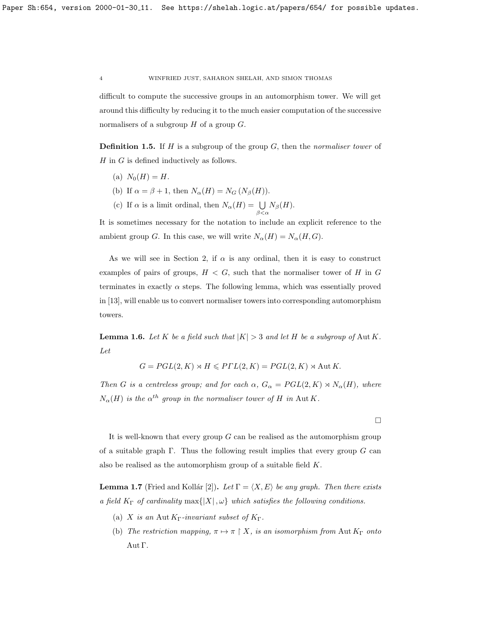difficult to compute the successive groups in an automorphism tower. We will get around this difficulty by reducing it to the much easier computation of the successive normalisers of a subgroup  $H$  of a group  $G$ .

**Definition 1.5.** If  $H$  is a subgroup of the group  $G$ , then the *normaliser tower* of  $H$  in  $G$  is defined inductively as follows.

- (a)  $N_0(H) = H$ .
- (b) If  $\alpha = \beta + 1$ , then  $N_{\alpha}(H) = N_G (N_{\beta}(H)).$
- (c) If  $\alpha$  is a limit ordinal, then  $N_{\alpha}(H) = \bigcup_{\beta < \alpha} N_{\beta}(H)$ .

It is sometimes necessary for the notation to include an explicit reference to the ambient group G. In this case, we will write  $N_{\alpha}(H) = N_{\alpha}(H, G)$ .

As we will see in Section [2,](#page-9-0) if  $\alpha$  is any ordinal, then it is easy to construct examples of pairs of groups,  $H < G$ , such that the normaliser tower of H in G terminates in exactly  $\alpha$  steps. The following lemma, which was essentially proved in [\[13\]](#page-24-2), will enable us to convert normaliser towers into corresponding automorphism towers.

<span id="page-3-0"></span>**Lemma 1.6.** Let K be a field such that  $|K| > 3$  and let H be a subgroup of Aut K. Let

$$
G = PGL(2, K) \rtimes H \leq PTL(2, K) = PGL(2, K) \rtimes \text{Aut } K.
$$

Then G is a centreless group; and for each  $\alpha$ ,  $G_{\alpha} = PGL(2,K) \rtimes N_{\alpha}(H)$ , where  $N_{\alpha}(H)$  is the  $\alpha^{th}$  group in the normaliser tower of H in Aut K.

 $\Box$ 

It is well-known that every group  $G$  can be realised as the automorphism group of a suitable graph  $\Gamma$ . Thus the following result implies that every group  $G$  can also be realised as the automorphism group of a suitable field K.

<span id="page-3-1"></span>**Lemma 1.7** (Fried and Kollár [\[2\]](#page-23-1)). Let  $\Gamma = \langle X, E \rangle$  be any graph. Then there exists a field  $K_{\Gamma}$  of cardinality  $\max\{|X|,\omega\}$  which satisfies the following conditions.

- (a) X is an Aut  $K_{\Gamma}$ -invariant subset of  $K_{\Gamma}$ .
- (b) The restriction mapping,  $\pi \mapsto \pi \restriction X$ , is an isomorphism from Aut  $K_{\Gamma}$  onto Aut Γ.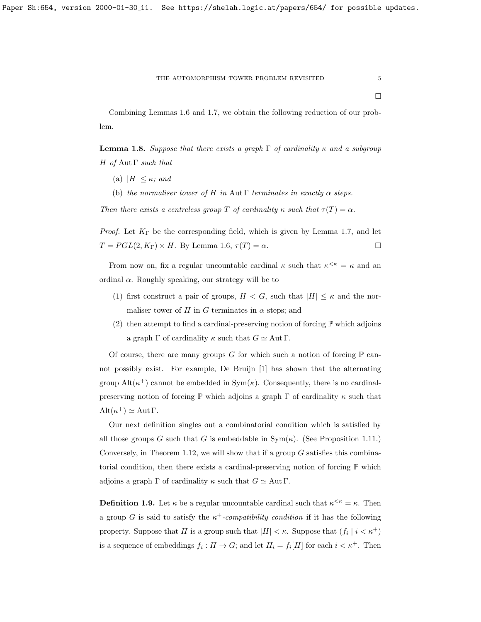Combining Lemmas [1.6](#page-3-0) and [1.7,](#page-3-1) we obtain the following reduction of our problem.

<span id="page-4-1"></span>**Lemma 1.8.** Suppose that there exists a graph  $\Gamma$  of cardinality  $\kappa$  and a subgroup H of Aut  $\Gamma$  such that

- (a)  $|H| \leq \kappa$ ; and
- (b) the normaliser tower of H in Aut Γ terminates in exactly  $\alpha$  steps.

Then there exists a centreless group T of cardinality  $\kappa$  such that  $\tau(T) = \alpha$ .

*Proof.* Let  $K_{\Gamma}$  be the corresponding field, which is given by Lemma [1.7,](#page-3-1) and let  $T = PGL(2, K_{\Gamma}) \rtimes H$ . By Lemma [1.6,](#page-3-0)  $\tau(T) = \alpha$ .

From now on, fix a regular uncountable cardinal  $\kappa$  such that  $\kappa^{\leq \kappa} = \kappa$  and an ordinal  $\alpha$ . Roughly speaking, our strategy will be to

- (1) first construct a pair of groups,  $H < G$ , such that  $|H| \leq \kappa$  and the normaliser tower of H in G terminates in  $\alpha$  steps; and
- (2) then attempt to find a cardinal-preserving notion of forcing  $\mathbb P$  which adjoins a graph  $\Gamma$  of cardinality  $\kappa$  such that  $G \simeq \text{Aut } \Gamma$ .

Of course, there are many groups G for which such a notion of forcing  $\mathbb P$  cannot possibly exist. For example, De Bruijn [\[1\]](#page-23-2) has shown that the alternating group  $\text{Alt}(\kappa^+)$  cannot be embedded in  $\text{Sym}(\kappa)$ . Consequently, there is no cardinalpreserving notion of forcing  $\mathbb P$  which adjoins a graph  $\Gamma$  of cardinality  $\kappa$  such that  $\mathrm{Alt}(\kappa^+) \simeq \mathrm{Aut}\,\Gamma.$ 

Our next definition singles out a combinatorial condition which is satisfied by all those groups G such that G is embeddable in  $Sym(\kappa)$ . (See Proposition [1.11.](#page-5-0)) Conversely, in Theorem [1.12,](#page-6-0) we will show that if a group  $G$  satisfies this combinatorial condition, then there exists a cardinal-preserving notion of forcing  $\mathbb{P}$  which adjoins a graph  $\Gamma$  of cardinality  $\kappa$  such that  $G \simeq \text{Aut } \Gamma$ .

<span id="page-4-0"></span>**Definition 1.9.** Let  $\kappa$  be a regular uncountable cardinal such that  $\kappa^{\leq \kappa} = \kappa$ . Then a group G is said to satisfy the  $\kappa^+$ -compatibility condition if it has the following property. Suppose that H is a group such that  $|H| < \kappa$ . Suppose that  $(f_i | i < \kappa^+)$ is a sequence of embeddings  $f_i: H \to G$ ; and let  $H_i = f_i[H]$  for each  $i < \kappa^+$ . Then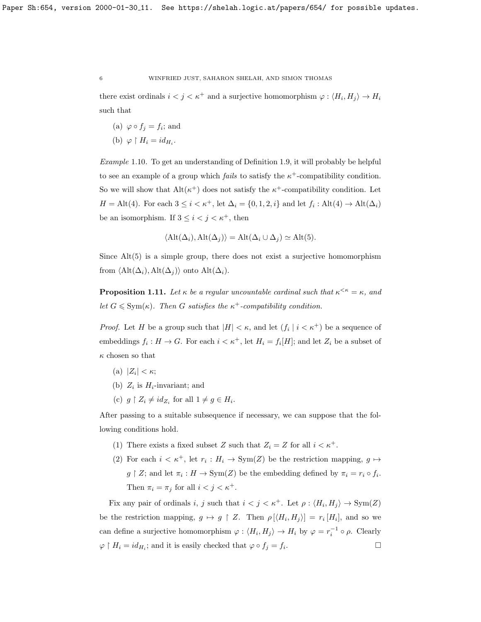there exist ordinals  $i < j < \kappa^+$  and a surjective homomorphism  $\varphi : \langle H_i, H_j \rangle \to H_i$ such that

- (a)  $\varphi \circ f_j = f_i$ ; and
- (b)  $\varphi \restriction H_i = id_{H_i}.$

Example 1.10. To get an understanding of Definition [1.9,](#page-4-0) it will probably be helpful to see an example of a group which *fails* to satisfy the  $\kappa^+$ -compatibility condition. So we will show that  $Alt(\kappa^+)$  does not satisfy the  $\kappa^+$ -compatibility condition. Let  $H = \text{Alt}(4)$ . For each  $3 \leq i < \kappa^+$ , let  $\Delta_i = \{0, 1, 2, i\}$  and let  $f_i : \text{Alt}(4) \to \text{Alt}(\Delta_i)$ be an isomorphism. If  $3 \leq i < j < \kappa^+$ , then

$$
\langle \text{Alt}(\Delta_i), \text{Alt}(\Delta_j) \rangle = \text{Alt}(\Delta_i \cup \Delta_j) \simeq \text{Alt}(5).
$$

Since Alt(5) is a simple group, there does not exist a surjective homomorphism from  $\langle \text{Alt}(\Delta_i), \text{Alt}(\Delta_j) \rangle$  onto  $\text{Alt}(\Delta_i)$ .

<span id="page-5-0"></span>**Proposition 1.11.** Let  $\kappa$  be a regular uncountable cardinal such that  $\kappa^{\leq \kappa} = \kappa$ , and let  $G \leqslant \text{Sym}(\kappa)$ . Then G satisfies the  $\kappa^+$ -compatibility condition.

*Proof.* Let H be a group such that  $|H| < \kappa$ , and let  $(f_i | i < \kappa^+)$  be a sequence of embeddings  $f_i: H \to G$ . For each  $i < \kappa^+$ , let  $H_i = f_i[H]$ ; and let  $Z_i$  be a subset of  $\kappa$  chosen so that

- (a)  $|Z_i| < \kappa;$
- (b)  $Z_i$  is  $H_i$ -invariant; and
- (c)  $g \restriction Z_i \neq id_{Z_i}$  for all  $1 \neq g \in H_i$ .

After passing to a suitable subsequence if necessary, we can suppose that the following conditions hold.

- (1) There exists a fixed subset Z such that  $Z_i = Z$  for all  $i < \kappa^+$ .
- (2) For each  $i < \kappa^+$ , let  $r_i : H_i \to \text{Sym}(Z)$  be the restriction mapping,  $g \mapsto$  $g \restriction Z$ ; and let  $\pi_i : H \to \text{Sym}(Z)$  be the embedding defined by  $\pi_i = r_i \circ f_i$ . Then  $\pi_i = \pi_j$  for all  $i < j < \kappa^+$ .

Fix any pair of ordinals i, j such that  $i < j < \kappa^+$ . Let  $\rho : \langle H_i, H_j \rangle \to \text{Sym}(Z)$ be the restriction mapping,  $g \mapsto g \restriction Z$ . Then  $\rho[\langle H_i, H_j \rangle] = r_i[H_i]$ , and so we can define a surjective homomorphism  $\varphi: \langle H_i, H_j \rangle \to H_i$  by  $\varphi = r_i^{-1} \circ \rho$ . Clearly  $\varphi \restriction H_i = id_{H_i}$ ; and it is easily checked that  $\varphi \circ f_j = f_i$ . — Процессиональные производствование и производствование и производствование и производствование и производс<br>В 1990 году в 1990 году в 1990 году в 1990 году в 1990 году в 1990 году в 1990 году в 1990 году в 1990 году в<br>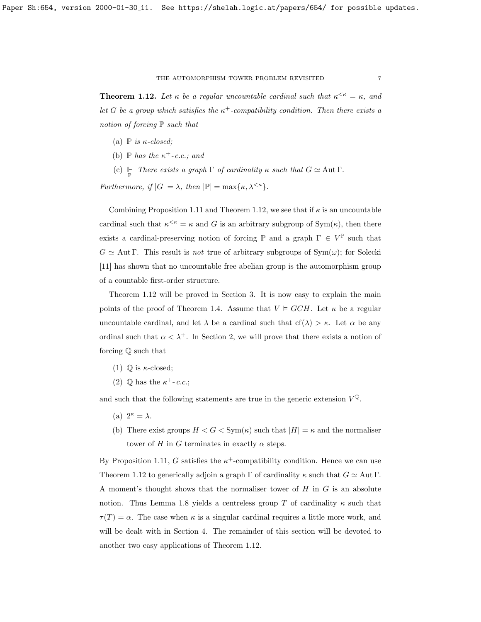#### THE AUTOMORPHISM TOWER PROBLEM REVISITED  $\hspace{0.5cm} 7$

<span id="page-6-0"></span>**Theorem 1.12.** Let  $\kappa$  be a regular uncountable cardinal such that  $\kappa^{\leq \kappa} = \kappa$ , and let G be a group which satisfies the  $\kappa^+$ -compatibility condition. Then there exists a notion of forcing  $\mathbb P$  such that

- (a)  $\mathbb P$  is  $\kappa$ -closed;
- (b)  $\mathbb P$  has the  $\kappa^+$ -c.c.; and
- (c)  $\Vdash$  There exists a graph  $\Gamma$  of cardinality  $\kappa$  such that  $G \simeq \text{Aut } \Gamma$ .

Furthermore, if  $|G| = \lambda$ , then  $|\mathbb{P}| = \max\{\kappa, \lambda^{\leq \kappa}\}.$ 

Combining Proposition [1.11](#page-5-0) and Theorem [1.12,](#page-6-0) we see that if  $\kappa$  is an uncountable cardinal such that  $\kappa^{\leq \kappa} = \kappa$  and G is an arbitrary subgroup of Sym( $\kappa$ ), then there exists a cardinal-preserving notion of forcing  $\mathbb P$  and a graph  $\Gamma \in V^{\mathbb P}$  such that  $G \simeq \text{Aut } \Gamma$ . This result is *not* true of arbitrary subgroups of  $\text{Sym}(\omega)$ ; for Solecki [\[11\]](#page-24-4) has shown that no uncountable free abelian group is the automorphism group of a countable first-order structure.

Theorem [1.12](#page-6-0) will be proved in Section [3.](#page-15-0) It is now easy to explain the main points of the proof of Theorem [1.4.](#page-2-0) Assume that  $V \models GCH$ . Let  $\kappa$  be a regular uncountable cardinal, and let  $\lambda$  be a cardinal such that  $cf(\lambda) > \kappa$ . Let  $\alpha$  be any ordinal such that  $\alpha < \lambda^+$ . In Section [2,](#page-9-0) we will prove that there exists a notion of forcing Q such that

- (1)  $\mathbb{Q}$  is  $\kappa$ -closed;
- (2)  $\mathbb Q$  has the  $\kappa^+$ -c.c.;

and such that the following statements are true in the generic extension  $V^{\mathbb{Q}}$ .

- (a)  $2^{\kappa} = \lambda$ .
- (b) There exist groups  $H < G < \text{Sym}(\kappa)$  such that  $|H| = \kappa$  and the normaliser tower of H in G terminates in exactly  $\alpha$  steps.

By Proposition [1.11,](#page-5-0) G satisfies the  $\kappa^+$ -compatibility condition. Hence we can use Theorem [1.12](#page-6-0) to generically adjoin a graph  $\Gamma$  of cardinality  $\kappa$  such that  $G \simeq \text{Aut } \Gamma$ . A moment's thought shows that the normaliser tower of  $H$  in  $G$  is an absolute notion. Thus Lemma [1.8](#page-4-1) yields a centreless group T of cardinality  $\kappa$  such that  $\tau(T) = \alpha$ . The case when  $\kappa$  is a singular cardinal requires a little more work, and will be dealt with in Section [4.](#page-20-0) The remainder of this section will be devoted to another two easy applications of Theorem [1.12.](#page-6-0)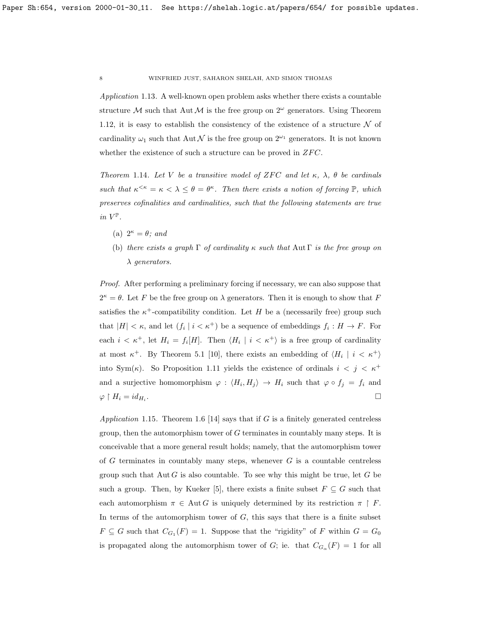Application 1.13. A well-known open problem asks whether there exists a countable structure M such that Aut M is the free group on  $2^{\omega}$  generators. Using Theorem [1.12,](#page-6-0) it is easy to establish the consistency of the existence of a structure  $\mathcal N$  of cardinality  $\omega_1$  such that Aut N is the free group on  $2^{\omega_1}$  generators. It is not known whether the existence of such a structure can be proved in  $ZFC$ .

Theorem 1.14. Let V be a transitive model of ZFC and let  $\kappa$ ,  $\lambda$ ,  $\theta$  be cardinals such that  $\kappa^{\leq \kappa} = \kappa \leq \lambda \leq \theta = \theta^{\kappa}$ . Then there exists a notion of forcing  $\mathbb{P}$ , which preserves cofinalities and cardinalities, such that the following statements are true in  $V^{\mathbb{P}}$ .

- (a)  $2^{\kappa} = \theta$ ; and
- (b) there exists a graph  $\Gamma$  of cardinality  $\kappa$  such that Aut  $\Gamma$  is the free group on λ generators.

Proof. After performing a preliminary forcing if necessary, we can also suppose that  $2^{\kappa} = \theta$ . Let F be the free group on  $\lambda$  generators. Then it is enough to show that F satisfies the  $\kappa^+$ -compatibility condition. Let H be a (necessarily free) group such that  $|H| < \kappa$ , and let  $(f_i \mid i < \kappa^+)$  be a sequence of embeddings  $f_i : H \to F$ . For each  $i < \kappa^+$ , let  $H_i = f_i[H]$ . Then  $\langle H_i | i < \kappa^+ \rangle$  is a free group of cardinality at most  $\kappa^+$ . By Theorem 5.1 [\[10\]](#page-24-5), there exists an embedding of  $\langle H_i | i \langle \kappa^+ \rangle$ into Sym( $\kappa$ ). So Proposition [1.11](#page-5-0) yields the existence of ordinals  $i < j < \kappa^+$ and a surjective homomorphism  $\varphi : \langle H_i, H_j \rangle \to H_i$  such that  $\varphi \circ f_j = f_i$  and  $\varphi \restriction H_i = id_{H_i}.$ .

Application 1.15. Theorem 1.6 [\[14\]](#page-24-3) says that if  $G$  is a finitely generated centreless group, then the automorphism tower of  $G$  terminates in countably many steps. It is conceivable that a more general result holds; namely, that the automorphism tower of  $G$  terminates in countably many steps, whenever  $G$  is a countable centreless group such that  $\text{Aut } G$  is also countable. To see why this might be true, let G be such a group. Then, by Kueker [\[5\]](#page-24-6), there exists a finite subset  $F \subseteq G$  such that each automorphism  $\pi \in \text{Aut } G$  is uniquely determined by its restriction  $\pi \restriction F$ . In terms of the automorphism tower of  $G$ , this says that there is a finite subset  $F \subseteq G$  such that  $C_{G_1}(F) = 1$ . Suppose that the "rigidity" of F within  $G = G_0$ is propagated along the automorphism tower of G; ie. that  $C_{G_{\alpha}}(F) = 1$  for all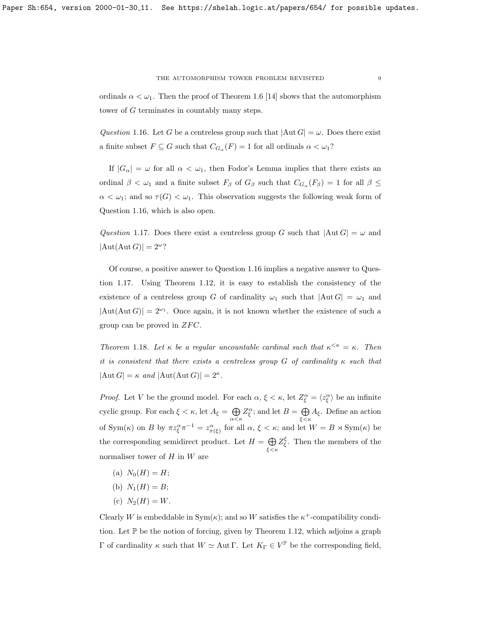ordinals  $\alpha < \omega_1$ . Then the proof of Theorem 1.6 [\[14\]](#page-24-3) shows that the automorphism tower of G terminates in countably many steps.

<span id="page-8-0"></span>Question 1.16. Let G be a centreless group such that  $|\text{Aut }G| = \omega$ . Does there exist a finite subset  $F \subseteq G$  such that  $C_{G_\alpha}(F) = 1$  for all ordinals  $\alpha < \omega_1$ ?

If  $|G_{\alpha}| = \omega$  for all  $\alpha < \omega_1$ , then Fodor's Lemma implies that there exists an ordinal  $\beta < \omega_1$  and a finite subset  $F_\beta$  of  $G_\beta$  such that  $C_{G_\alpha}(F_\beta) = 1$  for all  $\beta \leq$  $\alpha < \omega_1$ ; and so  $\tau(G) < \omega_1$ . This observation suggests the following weak form of Question [1.16,](#page-8-0) which is also open.

<span id="page-8-1"></span>Question 1.17. Does there exist a centreless group G such that  $|\text{Aut }G| = \omega$  and  $|\text{Aut}(\text{Aut }G)| = 2^{\omega}$ ?

Of course, a positive answer to Question [1.16](#page-8-0) implies a negative answer to Question [1.17.](#page-8-1) Using Theorem [1.12,](#page-6-0) it is easy to establish the consistency of the existence of a centreless group G of cardinality  $\omega_1$  such that  $|\text{Aut }G| = \omega_1$  and  $|\text{Aut}(\text{Aut }G)| = 2^{\omega_1}$ . Once again, it is not known whether the existence of such a group can be proved in  $ZFC$ .

Theorem 1.18. Let  $\kappa$  be a regular uncountable cardinal such that  $\kappa^{\leq \kappa} = \kappa$ . Then it is consistent that there exists a centreless group G of cardinality  $\kappa$  such that  $|\text{Aut }G| = \kappa \text{ and } |\text{Aut}(\text{Aut }G)| = 2^{\kappa}.$ 

*Proof.* Let V be the ground model. For each  $\alpha, \xi < \kappa$ , let  $Z_{\xi}^{\alpha} = \langle z_{\xi}^{\alpha} \rangle$  be an infinite cyclic group. For each  $\xi < \kappa$ , let  $A_{\xi} = \bigoplus$  $\bigoplus_{\alpha<\kappa}Z_{\xi}^{\alpha}$ ; and let  $B=\bigoplus_{\xi<\kappa}$  $\bigoplus_{\xi < \kappa} A_{\xi}$ . Define an action of  $\text{Sym}(\kappa)$  on B by  $\pi z_{\xi}^{\alpha} \pi^{-1} = z_{\pi(\xi)}^{\alpha}$  for all  $\alpha, \xi < \kappa$ ; and let  $W = B \rtimes \text{Sym}(\kappa)$  be the corresponding semidirect product. Let  $H = \bigoplus$ ξ<κ  $Z_{\xi}^{\xi}$ . Then the members of the normaliser tower of  $H$  in  $W$  are

- (a)  $N_0(H) = H$ ;
- (b)  $N_1(H) = B;$
- (c)  $N_2(H) = W$ .

Clearly W is embeddable in  $Sym(k)$ ; and so W satisfies the  $\kappa^+$ -compatibility condition. Let P be the notion of forcing, given by Theorem [1.12,](#page-6-0) which adjoins a graph Γ of cardinality  $\kappa$  such that  $W \simeq$  Aut Γ. Let  $K_{\Gamma} \in V^{\mathbb{P}}$  be the corresponding field,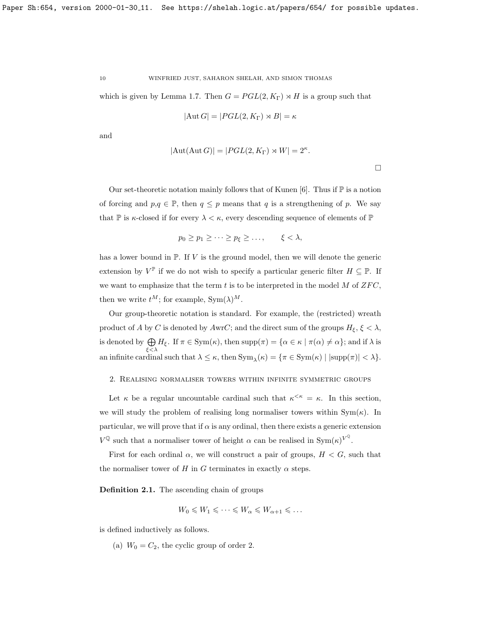which is given by Lemma [1.7.](#page-3-1) Then  $G = PGL(2, K_{\Gamma}) \rtimes H$  is a group such that

$$
|\mathrm{Aut}\, G|=|PGL(2,K_\Gamma)\rtimes B|=\kappa
$$

and

$$
|\mathrm{Aut}(\mathrm{Aut}\,G)|=|PGL(2,K_{\Gamma})\rtimes W|=2^{\kappa}.
$$

 $\Box$ 

Our set-theoretic notation mainly follows that of Kunen  $[6]$ . Thus if  $\mathbb P$  is a notion of forcing and  $p,q \in \mathbb{P}$ , then  $q \leq p$  means that q is a strengthening of p. We say that  $\mathbb P$  is  $\kappa$ -closed if for every  $\lambda < \kappa$ , every descending sequence of elements of  $\mathbb P$ 

$$
p_0 \ge p_1 \ge \cdots \ge p_\xi \ge \ldots, \qquad \xi < \lambda,
$$

has a lower bound in  $\mathbb{P}$ . If V is the ground model, then we will denote the generic extension by  $V^{\mathbb{P}}$  if we do not wish to specify a particular generic filter  $H \subseteq \mathbb{P}$ . If we want to emphasize that the term  $t$  is to be interpreted in the model  $M$  of  $ZFC$ , then we write  $t^M$ ; for example,  $Sym(\lambda)^M$ .

Our group-theoretic notation is standard. For example, the (restricted) wreath product of A by C is denoted by AwrC; and the direct sum of the groups  $H_{\xi}$ ,  $\xi < \lambda$ , is denoted by  $\bigoplus$  $\bigoplus_{\xi < \lambda} H_{\xi}$ . If  $\pi \in \text{Sym}(\kappa)$ , then  $\text{supp}(\pi) = {\alpha \in \kappa \mid \pi(\alpha) \neq \alpha}$ ; and if  $\lambda$  is an infinite cardinal such that  $\lambda \leq \kappa$ , then  $Sym_\lambda(\kappa) = \{ \pi \in Sym(\kappa) \mid |supp(\pi)| < \lambda \}.$ 

## <span id="page-9-0"></span>2. Realising normaliser towers within infinite symmetric groups

Let  $\kappa$  be a regular uncountable cardinal such that  $\kappa^{\leq \kappa} = \kappa$ . In this section, we will study the problem of realising long normaliser towers within  $Sym(\kappa)$ . In particular, we will prove that if  $\alpha$  is any ordinal, then there exists a generic extension  $V^{\mathbb{Q}}$  such that a normaliser tower of height  $\alpha$  can be realised in  $\text{Sym}(\kappa)^{V^{\mathbb{Q}}}$ .

First for each ordinal  $\alpha$ , we will construct a pair of groups,  $H < G$ , such that the normaliser tower of H in G terminates in exactly  $\alpha$  steps.

<span id="page-9-1"></span>Definition 2.1. The ascending chain of groups

$$
W_0 \leqslant W_1 \leqslant \cdots \leqslant W_\alpha \leqslant W_{\alpha+1} \leqslant \ldots
$$

is defined inductively as follows.

(a)  $W_0 = C_2$ , the cyclic group of order 2.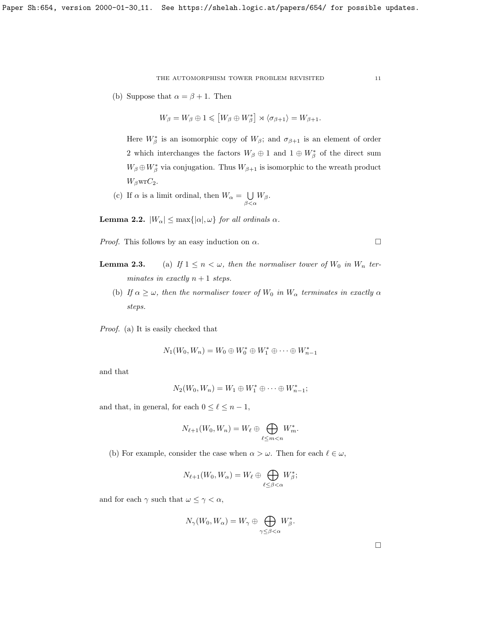(b) Suppose that  $\alpha = \beta + 1$ . Then

$$
W_{\beta}=W_{\beta}\oplus 1\leqslant \left[W_{\beta}\oplus W_{\beta}^*\right]\rtimes \langle \sigma_{\beta+1}\rangle=W_{\beta+1}.
$$

Here  $W^*_{\beta}$  is an isomorphic copy of  $W_{\beta}$ ; and  $\sigma_{\beta+1}$  is an element of order 2 which interchanges the factors  $W_{\beta} \oplus 1$  and  $1 \oplus W_{\beta}^*$  of the direct sum  $W_{\beta} \oplus W_{\beta}^*$  via conjugation. Thus  $W_{\beta+1}$  is isomorphic to the wreath product  $W_{\beta}$ wr $C_2$ .

(c) If  $\alpha$  is a limit ordinal, then  $W_{\alpha} = \bigcup$  $\bigcup_{\beta<\alpha}W_{\beta}.$ 

**Lemma 2.2.**  $|W_{\alpha}| \leq \max\{|{\alpha}|, {\omega}\}$  for all ordinals  $\alpha$ .

*Proof.* This follows by an easy induction on  $\alpha$ .

- **Lemma 2.3.** (a) If  $1 \le n < \omega$ , then the normaliser tower of  $W_0$  in  $W_n$  terminates in exactly  $n + 1$  steps.
	- (b) If  $\alpha \geq \omega$ , then the normaliser tower of  $W_0$  in  $W_\alpha$  terminates in exactly  $\alpha$ steps.

Proof. (a) It is easily checked that

$$
N_1(W_0, W_n) = W_0 \oplus W_0^* \oplus W_1^* \oplus \cdots \oplus W_{n-1}^*
$$

and that

$$
N_2(W_0, W_n) = W_1 \oplus W_1^* \oplus \cdots \oplus W_{n-1}^*;
$$

and that, in general, for each  $0 \leq \ell \leq n - 1$ ,

$$
N_{\ell+1}(W_0, W_n) = W_{\ell} \oplus \bigoplus_{\ell \leq m < n} W_m^*.
$$

(b) For example, consider the case when  $\alpha > \omega$ . Then for each  $\ell \in \omega$ ,

$$
N_{\ell+1}(W_0, W_\alpha) = W_\ell \oplus \bigoplus_{\ell \leq \beta < \alpha} W^*_\beta;
$$

and for each  $\gamma$  such that  $\omega \leq \gamma < \alpha$ ,

$$
N_{\gamma}(W_0, W_{\alpha}) = W_{\gamma} \oplus \bigoplus_{\gamma \leq \beta < \alpha} W_{\beta}^*.
$$

 $\Box$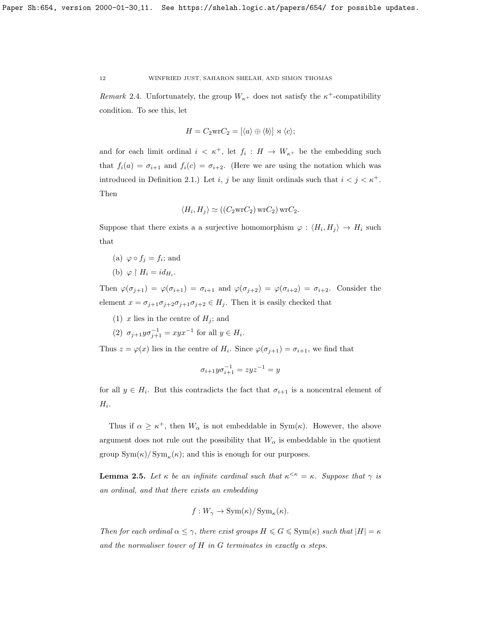Remark 2.4. Unfortunately, the group  $W_{\kappa}$ + does not satisfy the  $\kappa$ <sup>+</sup>-compatibility condition. To see this, let

$$
H = C_2 \text{wr} C_2 = [\langle a \rangle \oplus \langle b \rangle] \rtimes \langle c \rangle;
$$

and for each limit ordinal  $i \leq \kappa^+$ , let  $f_i : H \to W_{\kappa^+}$  be the embedding such that  $f_i(a) = \sigma_{i+1}$  and  $f_i(c) = \sigma_{i+2}$ . (Here we are using the notation which was introduced in Definition [2.1.](#page-9-1)) Let i, j be any limit ordinals such that  $i < j < \kappa^+$ . Then

$$
\langle H_i, H_j \rangle \simeq ((C_2 \text{wr} C_2) \text{wr} C_2) \text{wr} C_2.
$$

Suppose that there exists a a surjective homomorphism  $\varphi: \langle H_i, H_j \rangle \to H_i$  such that

- (a)  $\varphi \circ f_j = f_i$ ; and
- (b)  $\varphi \restriction H_i = id_{H_i}.$

Then  $\varphi(\sigma_{j+1}) = \varphi(\sigma_{i+1}) = \sigma_{i+1}$  and  $\varphi(\sigma_{j+2}) = \varphi(\sigma_{i+2}) = \sigma_{i+2}$ . Consider the element  $x = \sigma_{j+1}\sigma_{j+2}\sigma_{j+1}\sigma_{j+2} \in H_j$ . Then it is easily checked that

- (1) x lies in the centre of  $H_j$ ; and
- (2)  $\sigma_{j+1}y\sigma_{j+1}^{-1} = xyx^{-1}$  for all  $y \in H_i$ .

Thus  $z = \varphi(x)$  lies in the centre of  $H_i$ . Since  $\varphi(\sigma_{j+1}) = \sigma_{i+1}$ , we find that

$$
\sigma_{i+1}y\sigma_{i+1}^{-1} = zyz^{-1} = y
$$

for all  $y \in H_i$ . But this contradicts the fact that  $\sigma_{i+1}$  is a noncentral element of  $H_i$ .

Thus if  $\alpha \geq \kappa^+$ , then  $W_{\alpha}$  is not embeddable in Sym( $\kappa$ ). However, the above argument does not rule out the possibility that  $W_{\alpha}$  is embeddable in the quotient group  $\text{Sym}(\kappa)/\text{Sym}_{\kappa}(\kappa)$ ; and this is enough for our purposes.

<span id="page-11-0"></span>**Lemma 2.5.** Let  $\kappa$  be an infinite cardinal such that  $\kappa^{\leq \kappa} = \kappa$ . Suppose that  $\gamma$  is an ordinal, and that there exists an embedding

$$
f: W_{\gamma} \to \text{Sym}(\kappa)/\text{Sym}_{\kappa}(\kappa).
$$

Then for each ordinal  $\alpha \leq \gamma$ , there exist groups  $H \leq G \leq \text{Sym}(\kappa)$  such that  $|H| = \kappa$ and the normaliser tower of H in G terminates in exactly  $\alpha$  steps.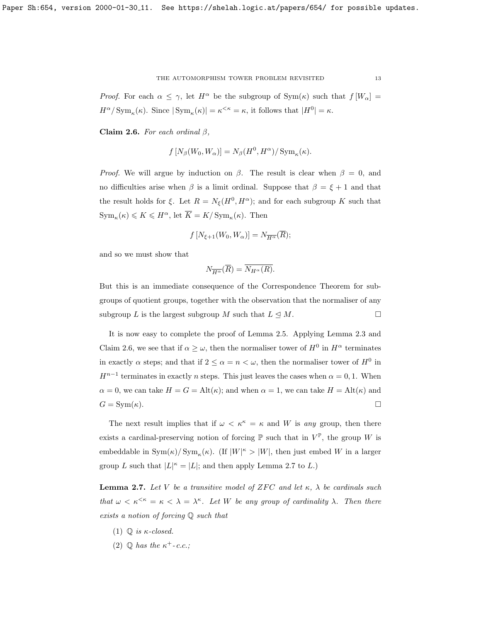<span id="page-12-0"></span>Claim 2.6. For each ordinal  $\beta$ ,

$$
f[N_{\beta}(W_0, W_{\alpha})] = N_{\beta}(H^0, H^{\alpha})/\operatorname{Sym}_{\kappa}(\kappa).
$$

*Proof.* We will argue by induction on  $\beta$ . The result is clear when  $\beta = 0$ , and no difficulties arise when  $\beta$  is a limit ordinal. Suppose that  $\beta = \xi + 1$  and that the result holds for  $\xi$ . Let  $R = N_{\xi}(H^0, H^{\alpha})$ ; and for each subgroup K such that  $\mathrm{Sym}_{\kappa}(\kappa) \leqslant K \leqslant H^{\alpha}, \, \mathrm{let} \, \overline{K} = K / \mathrm{Sym}_{\kappa}(\kappa).$  Then

$$
f[N_{\xi+1}(W_0, W_\alpha)] = N_{\overline{H^\alpha}}(\overline{R});
$$

and so we must show that

$$
N_{\overline{H^{\alpha}}}(\overline{R}) = \overline{N_{H^{\alpha}}(R)}.
$$

But this is an immediate consequence of the Correspondence Theorem for subgroups of quotient groups, together with the observation that the normaliser of any subgroup L is the largest subgroup M such that  $L \leq M$ .

It is now easy to complete the proof of Lemma [2.5.](#page-11-0) Applying Lemma [2.3](#page-0-0) and Claim [2.6,](#page-12-0) we see that if  $\alpha \geq \omega$ , then the normaliser tower of  $H^0$  in  $H^{\alpha}$  terminates in exactly  $\alpha$  steps; and that if  $2 \leq \alpha = n < \omega$ , then the normaliser tower of  $H^0$  in  $H^{n-1}$  terminates in exactly *n* steps. This just leaves the cases when  $\alpha = 0, 1$ . When  $\alpha = 0$ , we can take  $H = G = Alt(\kappa)$ ; and when  $\alpha = 1$ , we can take  $H = Alt(\kappa)$  and  $G = \text{Sym}(\kappa).$ 

The next result implies that if  $\omega < \kappa^{\kappa} = \kappa$  and W is any group, then there exists a cardinal-preserving notion of forcing  $\mathbb P$  such that in  $V^{\mathbb P}$ , the group W is embeddable in  $\text{Sym}(\kappa)/\text{Sym}_{\kappa}(\kappa)$ . (If  $|W|^{\kappa} > |W|$ , then just embed W in a larger group L such that  $|L|^{\kappa} = |L|$ ; and then apply Lemma [2.7](#page-12-1) to L.)

<span id="page-12-1"></span>**Lemma 2.7.** Let V be a transitive model of ZFC and let  $\kappa$ ,  $\lambda$  be cardinals such that  $\omega < \kappa^{<\kappa} = \kappa < \lambda = \lambda^{\kappa}$ . Let W be any group of cardinality  $\lambda$ . Then there exists a notion of forcing Q such that

- (1)  $\mathbb{Q}$  is  $\kappa$ -closed.
- (2)  $\mathbb{Q}$  has the  $\kappa^+$ -c.c.;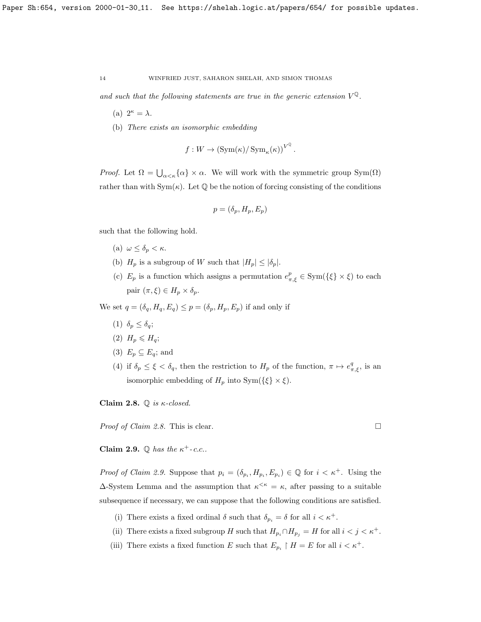and such that the following statements are true in the generic extension  $V^{\mathbb{Q}}$ .

- (a)  $2^{\kappa} = \lambda$ .
- (b) There exists an isomorphic embedding

$$
f: W \to (\text{Sym}(\kappa)/\text{Sym}_{\kappa}(\kappa))^{V^{\mathbb{Q}}}.
$$

*Proof.* Let  $\Omega = \bigcup_{\alpha < \kappa} {\alpha} \times \alpha$ . We will work with the symmetric group Sym( $\Omega$ ) rather than with  $Sym(\kappa)$ . Let  $\mathbb Q$  be the notion of forcing consisting of the conditions

$$
p = (\delta_p, H_p, E_p)
$$

such that the following hold.

- (a)  $\omega \leq \delta_p < \kappa$ .
- (b)  $H_p$  is a subgroup of W such that  $|H_p| \leq |\delta_p|$ .
- (c)  $E_p$  is a function which assigns a permutation  $e_{\pi,\xi}^p \in \text{Sym}(\{\xi\} \times \xi)$  to each pair  $(\pi, \xi) \in H_p \times \delta_p$ .

We set  $q = (\delta_q, H_q, E_q) \leq p = (\delta_p, H_p, E_p)$  if and only if

- (1)  $\delta_p \leq \delta_q$ ;
- (2)  $H_p \leqslant H_q$ ;
- (3)  $E_p \subseteq E_q$ ; and
- (4) if  $\delta_p \leq \xi < \delta_q$ , then the restriction to  $H_p$  of the function,  $\pi \mapsto e^q_{\pi,\xi}$ , is an isomorphic embedding of  $H_p$  into Sym( $\{\xi\} \times \xi$ ).

<span id="page-13-0"></span>Claim 2.8.  $\mathbb{Q}$  is  $\kappa$ -closed.

*Proof of Claim [2.8.](#page-13-0)* This is clear.

<span id="page-13-1"></span>Claim 2.9.  $\mathbb Q$  has the  $\kappa^+$ -c.c..

*Proof of Claim [2.9.](#page-13-1)* Suppose that  $p_i = (\delta_{p_i}, H_{p_i}, E_{p_i}) \in \mathbb{Q}$  for  $i < \kappa^+$ . Using the  $\Delta$ -System Lemma and the assumption that  $\kappa^{\leq \kappa} = \kappa$ , after passing to a suitable subsequence if necessary, we can suppose that the following conditions are satisfied.

- (i) There exists a fixed ordinal  $\delta$  such that  $\delta_{p_i} = \delta$  for all  $i < \kappa^+$ .
- (ii) There exists a fixed subgroup H such that  $H_{p_i} \cap H_{p_j} = H$  for all  $i < j < \kappa^+$ .
- (iii) There exists a fixed function E such that  $E_{p_i} \restriction H = E$  for all  $i < \kappa^+$ .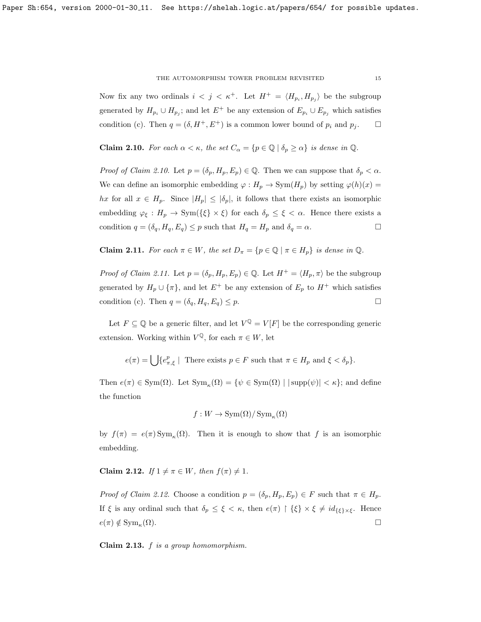Now fix any two ordinals  $i < j < \kappa^+$ . Let  $H^+ = \langle H_{p_i}, H_{p_j} \rangle$  be the subgroup generated by  $H_{p_i} \cup H_{p_j}$ ; and let  $E^+$  be any extension of  $E_{p_i} \cup E_{p_j}$  which satisfies condition (c). Then  $q = (\delta, H^+, E^+)$  is a common lower bound of  $p_i$  and  $p_j$ .  $\Box$ 

<span id="page-14-0"></span>**Claim 2.10.** For each  $\alpha < \kappa$ , the set  $C_{\alpha} = \{p \in \mathbb{Q} \mid \delta_p \geq \alpha\}$  is dense in  $\mathbb{Q}$ .

*Proof of Claim [2.10.](#page-14-0)* Let  $p = (\delta_p, H_p, E_p) \in \mathbb{Q}$ . Then we can suppose that  $\delta_p < \alpha$ . We can define an isomorphic embedding  $\varphi: H_p \to \text{Sym}(H_p)$  by setting  $\varphi(h)(x) =$ hx for all  $x \in H_p$ . Since  $|H_p| \leq |\delta_p|$ , it follows that there exists an isomorphic embedding  $\varphi_{\xi}: H_p \to \text{Sym}(\{\xi\} \times \xi)$  for each  $\delta_p \leq \xi < \alpha$ . Hence there exists a condition  $q = (\delta_q, H_q, E_q) \leq p$  such that  $H_q = H_p$  and  $\delta_q = \alpha$ .

<span id="page-14-1"></span>**Claim 2.11.** For each  $\pi \in W$ , the set  $D_{\pi} = \{p \in \mathbb{Q} \mid \pi \in H_p\}$  is dense in  $\mathbb{Q}$ .

*Proof of Claim [2.11.](#page-14-1)* Let  $p = (\delta_p, H_p, E_p) \in \mathbb{Q}$ . Let  $H^+ = \langle H_p, \pi \rangle$  be the subgroup generated by  $H_p \cup \{\pi\}$ , and let  $E^+$  be any extension of  $E_p$  to  $H^+$  which satisfies condition (c). Then  $q = (\delta_q, H_q, E_q) \leq p$ .

Let  $F \subseteq \mathbb{Q}$  be a generic filter, and let  $V^{\mathbb{Q}} = V[F]$  be the corresponding generic extension. Working within  $V^{\mathbb{Q}}$ , for each  $\pi \in W$ , let

$$
e(\pi) = \bigcup \{e_{\pi,\xi}^p \mid \text{ There exists } p \in F \text{ such that } \pi \in H_p \text{ and } \xi < \delta_p \}.
$$

Then  $e(\pi) \in \text{Sym}(\Omega)$ . Let  $\text{Sym}_{\kappa}(\Omega) = \{ \psi \in \text{Sym}(\Omega) \mid |\text{supp}(\psi)| < \kappa \};$  and define the function

$$
f: W \to \text{Sym}(\Omega)/\text{Sym}_{\kappa}(\Omega)
$$

by  $f(\pi) = e(\pi) \operatorname{Sym}_{\kappa}(\Omega)$ . Then it is enough to show that f is an isomorphic embedding.

<span id="page-14-2"></span>Claim 2.12. If  $1 \neq \pi \in W$ , then  $f(\pi) \neq 1$ .

Proof of Claim [2.12.](#page-14-2) Choose a condition  $p = (\delta_p, H_p, E_p) \in F$  such that  $\pi \in H_p$ . If  $\xi$  is any ordinal such that  $\delta_p \leq \xi < \kappa$ , then  $e(\pi) \upharpoonright {\xi} \times \xi \neq id_{\{\xi\} \times \xi}$ . Hence  $e(\pi) \notin \text{Sym}_{\kappa}(\Omega).$  $(\Omega)$ .

<span id="page-14-3"></span>Claim 2.13. f is a group homomorphism.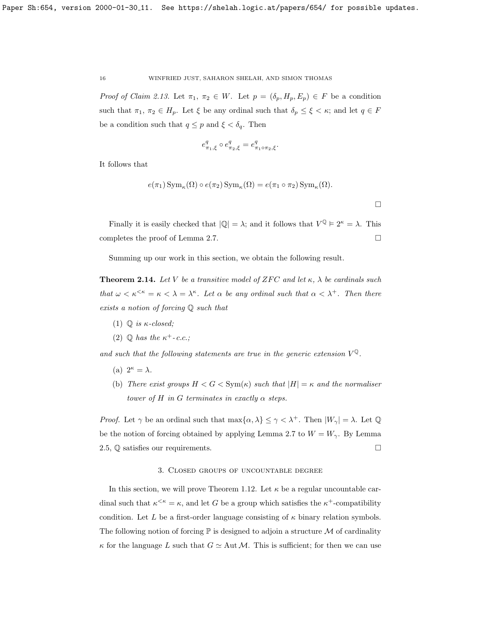Proof of Claim [2.13.](#page-14-3) Let  $\pi_1, \pi_2 \in W$ . Let  $p = (\delta_p, H_p, E_p) \in F$  be a condition such that  $\pi_1, \pi_2 \in H_p$ . Let  $\xi$  be any ordinal such that  $\delta_p \leq \xi < \kappa$ ; and let  $q \in F$ be a condition such that  $q \leq p$  and  $\xi < \delta_q$ . Then

$$
e^q_{\pi_1,\xi}\circ e^q_{\pi_2,\xi}=e^q_{\pi_1\circ\pi_2,\xi}.
$$

It follows that

$$
e(\pi_1) \operatorname{Sym}_{\kappa}(\Omega) \circ e(\pi_2) \operatorname{Sym}_{\kappa}(\Omega) = e(\pi_1 \circ \pi_2) \operatorname{Sym}_{\kappa}(\Omega).
$$

Finally it is easily checked that  $|\mathbb{Q}| = \lambda$ ; and it follows that  $V^{\mathbb{Q}} \models 2^{\kappa} = \lambda$ . This completes the proof of Lemma [2.7.](#page-12-1)  $\Box$ 

Summing up our work in this section, we obtain the following result.

<span id="page-15-1"></span>**Theorem 2.14.** Let V be a transitive model of ZFC and let  $\kappa$ ,  $\lambda$  be cardinals such that  $\omega < \kappa^{\leq \kappa} = \kappa < \lambda = \lambda^{\kappa}$ . Let  $\alpha$  be any ordinal such that  $\alpha < \lambda^+$ . Then there exists a notion of forcing Q such that

- (1)  $\mathbb{Q}$  is  $\kappa$ -closed;
- (2)  $\mathbb{Q}$  has the  $\kappa^+$ -c.c.;

and such that the following statements are true in the generic extension  $V^{\mathbb{Q}}$ .

- (a)  $2^{\kappa} = \lambda$ .
- (b) There exist groups  $H < G < \text{Sym}(\kappa)$  such that  $|H| = \kappa$  and the normaliser tower of H in G terminates in exactly  $\alpha$  steps.

*Proof.* Let  $\gamma$  be an ordinal such that  $\max{\{\alpha, \lambda\}} \leq \gamma < \lambda^+$ . Then  $|W_{\gamma}| = \lambda$ . Let  $\mathbb{Q}$ be the notion of forcing obtained by applying Lemma [2.7](#page-12-1) to  $W = W_{\gamma}$ . By Lemma [2.5,](#page-11-0)  $\mathbb Q$  satisfies our requirements.

### 3. Closed groups of uncountable degree

<span id="page-15-0"></span>In this section, we will prove Theorem [1.12.](#page-6-0) Let  $\kappa$  be a regular uncountable cardinal such that  $\kappa^{\leq \kappa} = \kappa$ , and let G be a group which satisfies the  $\kappa^+$ -compatibility condition. Let L be a first-order language consisting of  $\kappa$  binary relation symbols. The following notion of forcing  $\mathbb P$  is designed to adjoin a structure M of cardinality  $\kappa$  for the language L such that  $G \simeq$  Aut M. This is sufficient; for then we can use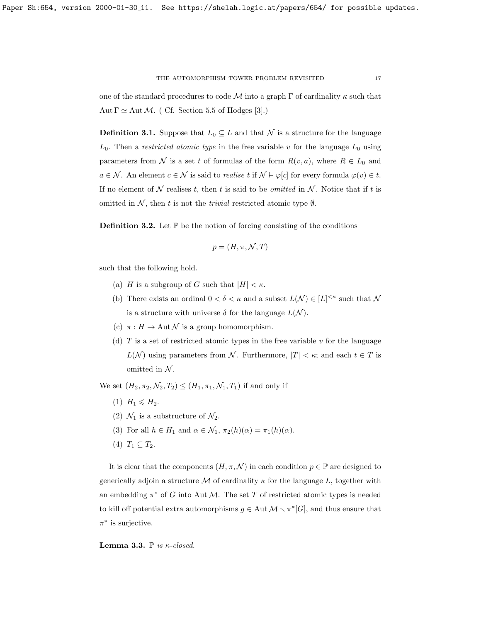one of the standard procedures to code  $\mathcal M$  into a graph  $\Gamma$  of cardinality  $\kappa$  such that Aut  $\Gamma \simeq$  Aut M. ( Cf. Section 5.5 of Hodges [\[3\]](#page-23-3).)

**Definition 3.1.** Suppose that  $L_0 \subseteq L$  and that N is a structure for the language  $L_0$ . Then a *restricted atomic type* in the free variable v for the language  $L_0$  using parameters from N is a set t of formulas of the form  $R(v, a)$ , where  $R \in L_0$  and  $a \in \mathcal{N}$ . An element  $c \in \mathcal{N}$  is said to *realise t* if  $\mathcal{N} \models \varphi[c]$  for every formula  $\varphi(v) \in t$ . If no element of  $N$  realises t, then t is said to be *omitted* in  $N$ . Notice that if t is omitted in  $N$ , then t is not the trivial restricted atomic type  $\emptyset$ .

**Definition 3.2.** Let  $\mathbb{P}$  be the notion of forcing consisting of the conditions

$$
p = (H, \pi, \mathcal{N}, T)
$$

such that the following hold.

- (a) H is a subgroup of G such that  $|H| < \kappa$ .
- (b) There exists an ordinal  $0 < \delta < \kappa$  and a subset  $L(\mathcal{N}) \in [L]^{<\kappa}$  such that N is a structure with universe  $\delta$  for the language  $L(\mathcal{N})$ .
- (c)  $\pi : H \to \text{Aut } \mathcal{N}$  is a group homomorphism.
- (d)  $T$  is a set of restricted atomic types in the free variable  $v$  for the language  $L(\mathcal{N})$  using parameters from  $\mathcal{N}$ . Furthermore,  $|T| < \kappa$ ; and each  $t \in T$  is omitted in  $N$ .

We set  $(H_2, \pi_2, \mathcal{N}_2, T_2) \leq (H_1, \pi_1, \mathcal{N}_1, T_1)$  if and only if

- (1)  $H_1 \leq H_2$ .
- (2)  $\mathcal{N}_1$  is a substructure of  $\mathcal{N}_2$ .
- (3) For all  $h \in H_1$  and  $\alpha \in \mathcal{N}_1$ ,  $\pi_2(h)(\alpha) = \pi_1(h)(\alpha)$ .
- (4)  $T_1 \subseteq T_2$ .

It is clear that the components  $(H, \pi, \mathcal{N})$  in each condition  $p \in \mathbb{P}$  are designed to generically adjoin a structure M of cardinality  $\kappa$  for the language L, together with an embedding  $\pi^*$  of G into Aut M. The set T of restricted atomic types is needed to kill off potential extra automorphisms  $g \in \text{Aut } \mathcal{M} \setminus \pi^*[G]$ , and thus ensure that  $\pi^*$  is surjective.

Lemma 3.3.  $\mathbb P$  is  $\kappa$ -closed.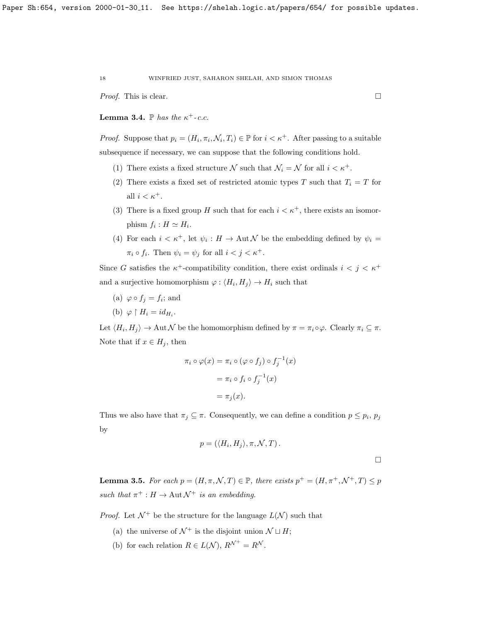*Proof.* This is clear.

**Lemma 3.4.**  $\mathbb{P}$  has the  $\kappa^+$ -c.c.

*Proof.* Suppose that  $p_i = (H_i, \pi_i, \mathcal{N}_i, T_i) \in \mathbb{P}$  for  $i < \kappa^+$ . After passing to a suitable subsequence if necessary, we can suppose that the following conditions hold.

- (1) There exists a fixed structure N such that  $\mathcal{N}_i = \mathcal{N}$  for all  $i < \kappa^+$ .
- (2) There exists a fixed set of restricted atomic types T such that  $T_i = T$  for all  $i < \kappa^+$ .
- (3) There is a fixed group H such that for each  $i < \kappa^+$ , there exists an isomorphism  $f_i : H \simeq H_i$ .
- (4) For each  $i < \kappa^+$ , let  $\psi_i : H \to \text{Aut } \mathcal{N}$  be the embedding defined by  $\psi_i =$  $\pi_i \circ f_i$ . Then  $\psi_i = \psi_j$  for all  $i < j < \kappa^+$ .

Since G satisfies the  $\kappa^+$ -compatibility condition, there exist ordinals  $i < j < \kappa^+$ and a surjective homomorphism  $\varphi: \langle H_i, H_j \rangle \to H_i$  such that

- (a)  $\varphi \circ f_j = f_i$ ; and
- (b)  $\varphi \restriction H_i = id_{H_i}.$

Let  $\langle H_i, H_j \rangle \to \text{Aut } \mathcal{N}$  be the homomorphism defined by  $\pi = \pi_i \circ \varphi$ . Clearly  $\pi_i \subseteq \pi$ . Note that if  $x \in H_j$ , then

$$
\pi_i \circ \varphi(x) = \pi_i \circ (\varphi \circ f_j) \circ f_j^{-1}(x)
$$

$$
= \pi_i \circ f_i \circ f_j^{-1}(x)
$$

$$
= \pi_j(x).
$$

Thus we also have that  $\pi_j \subseteq \pi$ . Consequently, we can define a condition  $p \leq p_i$ ,  $p_j$ by

$$
p = (\langle H_i, H_j \rangle, \pi, \mathcal{N}, T).
$$

<span id="page-17-0"></span>**Lemma 3.5.** For each  $p = (H, \pi, \mathcal{N}, T) \in \mathbb{P}$ , there exists  $p^+ = (H, \pi^+, \mathcal{N}^+, T) \leq p$ such that  $\pi^+ : H \to \text{Aut }\mathcal{N}^+$  is an embedding.

*Proof.* Let  $\mathcal{N}^+$  be the structure for the language  $L(\mathcal{N})$  such that

- (a) the universe of  $\mathcal{N}^+$  is the disjoint union  $\mathcal{N} \sqcup H$ ;
- (b) for each relation  $R \in L(\mathcal{N}), R^{\mathcal{N}^+} = R^{\mathcal{N}}.$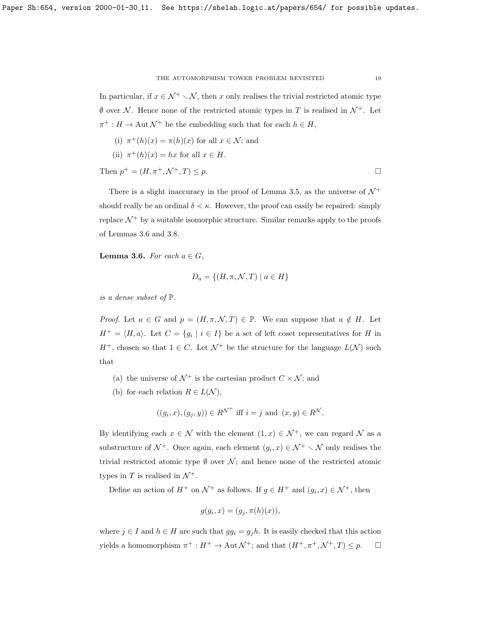In particular, if  $x \in \mathcal{N}^+ \setminus \mathcal{N}$ , then x only realises the trivial restricted atomic type  $\emptyset$  over N. Hence none of the restricted atomic types in T is realised in  $\mathcal{N}^+$ . Let  $\pi^+ : H \to \text{Aut }\mathcal{N}^+$  be the embedding such that for each  $h \in H$ ,

(i) 
$$
\pi^+(h)(x) = \pi(h)(x)
$$
 for all  $x \in \mathcal{N}$ ; and  
\n(ii)  $\pi^+(h)(x) = hx$  for all  $x \in H$ .  
\nThen  $p^+ = (H, \pi^+, \mathcal{N}^+, T) \leq p$ .

There is a slight inaccuracy in the proof of Lemma [3.5,](#page-17-0) as the universe of  $\mathcal{N}^+$ should really be an ordinal  $\delta < \kappa$ . However, the proof can easily be repaired: simply replace  $\mathcal{N}^+$  by a suitable isomorphic structure. Similar remarks apply to the proofs of Lemmas [3.6](#page-18-0) and [3.8.](#page-19-0)

<span id="page-18-0"></span>**Lemma 3.6.** For each  $a \in G$ ,

$$
D_a = \{(H, \pi, \mathcal{N}, T) \mid a \in H\}
$$

is a dense subset of P.

*Proof.* Let  $a \in G$  and  $p = (H, \pi, \mathcal{N}, T) \in \mathbb{P}$ . We can suppose that  $a \notin H$ . Let  $H^+ = \langle H, a \rangle$ . Let  $C = \{g_i \mid i \in I\}$  be a set of left coset representatives for H in  $H^+$ , chosen so that  $1 \in C$ . Let  $\mathcal{N}^+$  be the structure for the language  $L(\mathcal{N})$  such that

- (a) the universe of  $\mathcal{N}^+$  is the cartesian product  $C \times \mathcal{N}$ ; and
- (b) for each relation  $R \in L(\mathcal{N}),$

$$
((g_i, x), (g_j, y)) \in R^{\mathcal{N}^+}
$$
 iff  $i = j$  and  $(x, y) \in R^{\mathcal{N}}$ .

By identifying each  $x \in \mathcal{N}$  with the element  $(1, x) \in \mathcal{N}^+$ , we can regard  $\mathcal N$  as a substructure of  $\mathcal{N}^+$ . Once again, each element  $(g_i, x) \in \mathcal{N}^+ \setminus \mathcal{N}$  only realises the trivial restricted atomic type  $\emptyset$  over  $\mathcal{N}$ ; and hence none of the restricted atomic types in T is realised in  $\mathcal{N}^+$ .

Define an action of  $H^+$  on  $\mathcal{N}^+$  as follows. If  $g \in H^+$  and  $(g_i, x) \in \mathcal{N}^+$ , then

$$
g(g_i, x) = (g_j, \pi(h)(x)),
$$

where  $j \in I$  and  $h \in H$  are such that  $gg_i = g_j h$ . It is easily checked that this action yields a homomorphism  $\pi^+ : H^+ \to \text{Aut} \mathcal{N}^+$ ; and that  $(H^+, \pi^+, \mathcal{N}^+, T) \leq p$ .  $\Box$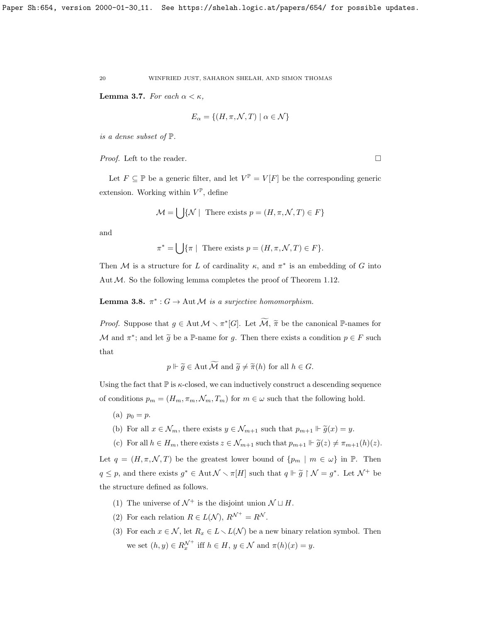**Lemma 3.7.** For each  $\alpha < \kappa$ ,

$$
E_{\alpha} = \{ (H, \pi, \mathcal{N}, T) \mid \alpha \in \mathcal{N} \}
$$

is a dense subset of P.

*Proof.* Left to the reader.  $\Box$ 

Let  $F \subseteq \mathbb{P}$  be a generic filter, and let  $V^{\mathbb{P}} = V[F]$  be the corresponding generic extension. Working within  $V^{\mathbb{P}}$ , define

$$
\mathcal{M} = \bigcup \{ \mathcal{N} \mid \text{There exists } p = (H, \pi, \mathcal{N}, T) \in F \}
$$

and

$$
\pi^* = \bigcup \{ \pi \mid \text{ There exists } p = (H, \pi, \mathcal{N}, T) \in F \}.
$$

Then M is a structure for L of cardinality  $\kappa$ , and  $\pi^*$  is an embedding of G into Aut  $M$ . So the following lemma completes the proof of Theorem [1.12.](#page-6-0)

<span id="page-19-0"></span>**Lemma 3.8.**  $\pi^*$ :  $G \to \text{Aut } \mathcal{M}$  is a surjective homomorphism.

*Proof.* Suppose that  $g \in \text{Aut } \mathcal{M} \setminus \pi^*[G]$ . Let  $\widetilde{\mathcal{M}}, \widetilde{\pi}$  be the canonical P-names for M and  $\pi^*$ ; and let  $\widetilde{g}$  be a P-name for g. Then there exists a condition  $p \in F$  such that

 $p \Vdash \widetilde{q} \in \text{Aut } \widetilde{\mathcal{M}}$  and  $\widetilde{q} \neq \widetilde{\pi}(h)$  for all  $h \in G$ .

Using the fact that  $\mathbb P$  is  $\kappa$ -closed, we can inductively construct a descending sequence of conditions  $p_m = (H_m, \pi_m, \mathcal{N}_m, T_m)$  for  $m \in \omega$  such that the following hold.

- (a)  $p_0 = p$ .
- (b) For all  $x \in \mathcal{N}_m$ , there exists  $y \in \mathcal{N}_{m+1}$  such that  $p_{m+1} \Vdash \tilde{g}(x) = y$ .

(c) For all  $h \in H_m$ , there exists  $z \in \mathcal{N}_{m+1}$  such that  $p_{m+1} \Vdash \tilde{g}(z) \neq \pi_{m+1}(h)(z)$ .

Let  $q = (H, \pi, \mathcal{N}, T)$  be the greatest lower bound of  $\{p_m \mid m \in \omega\}$  in  $\mathbb{P}$ . Then  $q \leq p$ , and there exists  $g^* \in \text{Aut}\,\mathcal{N} \setminus \pi[H]$  such that  $q \Vdash \widetilde{g} \restriction \mathcal{N} = g^*$ . Let  $\mathcal{N}^+$  be the structure defined as follows.

- (1) The universe of  $\mathcal{N}^+$  is the disjoint union  $\mathcal{N} \sqcup H$ .
- (2) For each relation  $R \in L(\mathcal{N}), R^{\mathcal{N}^+} = R^{\mathcal{N}}.$
- (3) For each  $x \in \mathcal{N}$ , let  $R_x \in L \setminus L(\mathcal{N})$  be a new binary relation symbol. Then we set  $(h, y) \in R_x^{\mathcal{N}^+}$  iff  $h \in H$ ,  $y \in \mathcal{N}$  and  $\pi(h)(x) = y$ .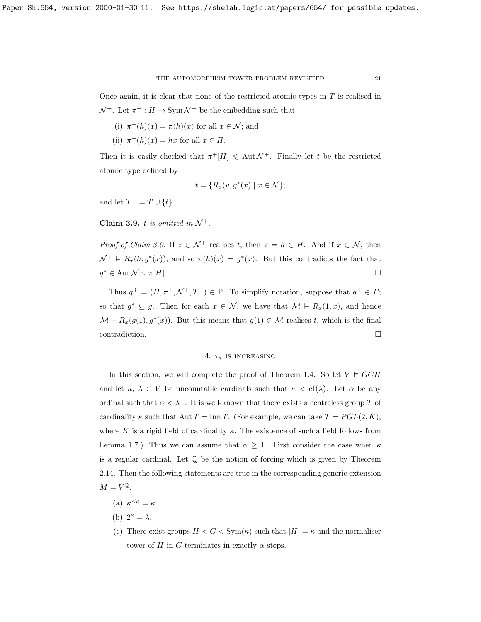Once again, it is clear that none of the restricted atomic types in  $T$  is realised in  $\mathcal{N}^+$ . Let  $\pi^+ : H \to \text{Sym } \mathcal{N}^+$  be the embedding such that

- (i)  $\pi^+(h)(x) = \pi(h)(x)$  for all  $x \in \mathcal{N}$ ; and
- (ii)  $\pi^+(h)(x) = hx$  for all  $x \in H$ .

Then it is easily checked that  $\pi^+[H] \leq \text{Aut }\mathcal{N}^+$ . Finally let t be the restricted atomic type defined by

$$
t = \{ R_x(v, g^*(x) \mid x \in \mathcal{N} \};
$$

and let  $T^+ = T \cup \{t\}.$ 

<span id="page-20-1"></span>Claim 3.9. t is omitted in  $\mathcal{N}^+$ .

*Proof of Claim [3.9.](#page-20-1)* If  $z \in \mathcal{N}^+$  realises t, then  $z = h \in H$ . And if  $x \in \mathcal{N}$ , then  $\mathcal{N}^+ \models R_x(h, g^*(x))$ , and so  $\pi(h)(x) = g^*(x)$ . But this contradicts the fact that  $g^* \in \text{Aut} \mathcal{N} \setminus \pi[H].$ 

Thus  $q^+ = (H, \pi^+, \mathcal{N}^+, T^+) \in \mathbb{P}$ . To simplify notation, suppose that  $q^+ \in F$ ; so that  $g^* \subseteq g$ . Then for each  $x \in \mathcal{N}$ , we have that  $\mathcal{M} \models R_x(1,x)$ , and hence  $\mathcal{M} \models R_x(g(1), g^*(x))$ . But this means that  $g(1) \in \mathcal{M}$  realises t, which is the final  $\Box$ contradiction.

### 4.  $\tau_{\kappa}$  is increasing

<span id="page-20-0"></span>In this section, we will complete the proof of Theorem [1.4.](#page-2-0) So let  $V \models GCH$ and let  $\kappa$ ,  $\lambda \in V$  be uncountable cardinals such that  $\kappa < \text{cf}(\lambda)$ . Let  $\alpha$  be any ordinal such that  $\alpha < \lambda^+$ . It is well-known that there exists a centreless group T of cardinality  $\kappa$  such that  $\text{Aut } T = \text{Inn } T$ . (For example, we can take  $T = PGL(2, K)$ , where K is a rigid field of cardinality  $\kappa$ . The existence of such a field follows from Lemma [1.7.](#page-3-1)) Thus we can assume that  $\alpha \geq 1$ . First consider the case when  $\kappa$ is a regular cardinal. Let  $\mathbb Q$  be the notion of forcing which is given by Theorem [2.14.](#page-15-1) Then the following statements are true in the corresponding generic extension  $M = V^{\mathbb{Q}}$ .

- (a)  $\kappa^{\leq \kappa} = \kappa$ .
- (b)  $2^{\kappa} = \lambda$ .
- (c) There exist groups  $H < G < \text{Sym}(\kappa)$  such that  $|H| = \kappa$  and the normaliser tower of H in G terminates in exactly  $\alpha$  steps.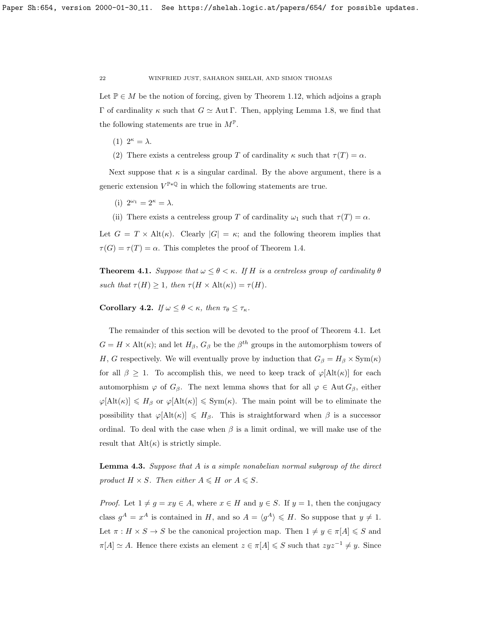Let  $\mathbb{P} \in M$  be the notion of forcing, given by Theorem [1.12,](#page-6-0) which adjoins a graph Γ of cardinality κ such that  $G \simeq$  Aut Γ. Then, applying Lemma [1.8,](#page-4-1) we find that the following statements are true in  $M^{\mathbb{P}}$ .

- (1)  $2^{\kappa} = \lambda$ .
- (2) There exists a centreless group T of cardinality  $\kappa$  such that  $\tau(T) = \alpha$ .

Next suppose that  $\kappa$  is a singular cardinal. By the above argument, there is a generic extension  $V^{\mathbb{P} * \mathbb{Q}}$  in which the following statements are true.

(i)  $2^{\omega_1} = 2^{\kappa} = \lambda$ .

(ii) There exists a centreless group T of cardinality  $\omega_1$  such that  $\tau(T) = \alpha$ .

Let  $G = T \times Alt(\kappa)$ . Clearly  $|G| = \kappa$ ; and the following theorem implies that  $\tau(G) = \tau(T) = \alpha$ . This completes the proof of Theorem [1.4.](#page-2-0)

<span id="page-21-0"></span>**Theorem 4.1.** Suppose that  $\omega \leq \theta < \kappa$ . If H is a centreless group of cardinality  $\theta$ such that  $\tau(H) \geq 1$ , then  $\tau(H \times \text{Alt}(\kappa)) = \tau(H)$ .

Corollary 4.2. If  $\omega \leq \theta < \kappa$ , then  $\tau_{\theta} \leq \tau_{\kappa}$ .

The remainder of this section will be devoted to the proof of Theorem [4.1.](#page-21-0) Let  $G = H \times Alt(\kappa)$ ; and let  $H_\beta$ ,  $G_\beta$  be the  $\beta^{th}$  groups in the automorphism towers of H, G respectively. We will eventually prove by induction that  $G_{\beta} = H_{\beta} \times \text{Sym}(\kappa)$ for all  $\beta \geq 1$ . To accomplish this, we need to keep track of  $\varphi[\text{Alt}(\kappa)]$  for each automorphism  $\varphi$  of  $G_{\beta}$ . The next lemma shows that for all  $\varphi \in \text{Aut } G_{\beta}$ , either  $\varphi[\text{Alt}(\kappa)] \le H_\beta$  or  $\varphi[\text{Alt}(\kappa)] \le \text{Sym}(\kappa)$ . The main point will be to eliminate the possibility that  $\varphi[\text{Alt}(\kappa)] \leq H_\beta$ . This is straightforward when  $\beta$  is a successor ordinal. To deal with the case when  $\beta$  is a limit ordinal, we will make use of the result that  $\text{Alt}(\kappa)$  is strictly simple.

<span id="page-21-1"></span>**Lemma 4.3.** Suppose that  $A$  is a simple nonabelian normal subgroup of the direct product  $H \times S$ . Then either  $A \leq H$  or  $A \leq S$ .

*Proof.* Let  $1 \neq g = xy \in A$ , where  $x \in H$  and  $y \in S$ . If  $y = 1$ , then the conjugacy class  $g^A = x^A$  is contained in H, and so  $A = \langle g^A \rangle \leq H$ . So suppose that  $y \neq 1$ . Let  $\pi : H \times S \to S$  be the canonical projection map. Then  $1 \neq y \in \pi[A] \leqslant S$  and  $\pi[A] \simeq A$ . Hence there exists an element  $z \in \pi[A] \leq S$  such that  $zyz^{-1} \neq y$ . Since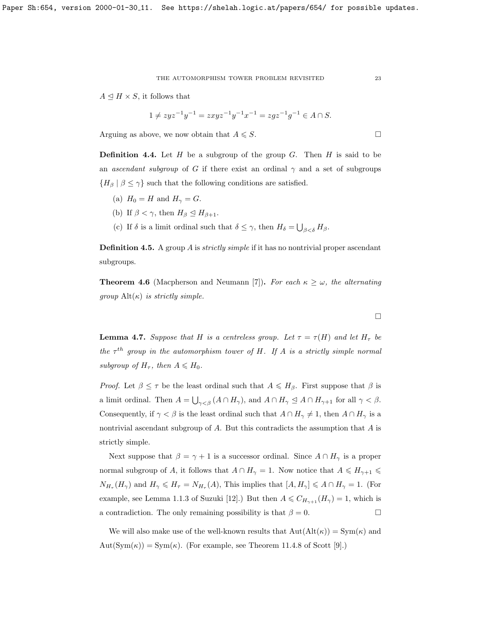$A \trianglelefteq H \times S$ , it follows that

$$
1 \neq zyz^{-1}y^{-1} = zxyz^{-1}y^{-1}x^{-1} = zgz^{-1}g^{-1} \in A \cap S.
$$

Arguing as above, we now obtain that  $A \leq S$ .

**Definition 4.4.** Let  $H$  be a subgroup of the group  $G$ . Then  $H$  is said to be an ascendant subgroup of G if there exist an ordinal  $\gamma$  and a set of subgroups  ${H_\beta \mid \beta \leq \gamma}$  such that the following conditions are satisfied.

- (a)  $H_0 = H$  and  $H_\gamma = G$ .
- (b) If  $\beta < \gamma$ , then  $H_{\beta} \leq H_{\beta+1}$ .
- (c) If  $\delta$  is a limit ordinal such that  $\delta \leq \gamma$ , then  $H_{\delta} = \bigcup_{\beta < \delta} H_{\beta}$ .

**Definition 4.5.** A group A is *strictly simple* if it has no nontrivial proper ascendant subgroups.

**Theorem 4.6** (Macpherson and Neumann [\[7\]](#page-24-8)). For each  $\kappa \geq \omega$ , the alternating  $qroup$  Alt $(\kappa)$  is strictly simple.

<span id="page-22-0"></span>**Lemma 4.7.** Suppose that H is a centreless group. Let  $\tau = \tau(H)$  and let  $H_{\tau}$  be the  $\tau^{th}$  group in the automorphism tower of H. If A is a strictly simple normal subgroup of  $H_{\tau}$ , then  $A \leq H_0$ .

*Proof.* Let  $\beta \leq \tau$  be the least ordinal such that  $A \leq H_{\beta}$ . First suppose that  $\beta$  is a limit ordinal. Then  $A = \bigcup_{\gamma < \beta} (A \cap H_{\gamma})$ , and  $A \cap H_{\gamma} \leq A \cap H_{\gamma+1}$  for all  $\gamma < \beta$ . Consequently, if  $\gamma < \beta$  is the least ordinal such that  $A \cap H_{\gamma} \neq 1$ , then  $A \cap H_{\gamma}$  is a nontrivial ascendant subgroup of A. But this contradicts the assumption that A is strictly simple.

Next suppose that  $\beta = \gamma + 1$  is a successor ordinal. Since  $A \cap H_{\gamma}$  is a proper normal subgroup of A, it follows that  $A \cap H_{\gamma} = 1$ . Now notice that  $A \leq H_{\gamma+1} \leq$  $N_{H_{\tau}}(H_{\gamma})$  and  $H_{\gamma} \leqslant H_{\tau} = N_{H_{\tau}}(A)$ , This implies that  $[A, H_{\gamma}] \leqslant A \cap H_{\gamma} = 1$ . (For example, see Lemma 1.1.3 of Suzuki [\[12\]](#page-24-9).) But then  $A \leq C_{H_{\gamma+1}}(H_{\gamma}) = 1$ , which is a contradiction. The only remaining possibility is that  $\beta = 0$ .

We will also make use of the well-known results that  $Aut(Alt(\kappa)) = Sym(\kappa)$  and  $Aut(Sym(\kappa)) = Sym(\kappa)$ . (For example, see Theorem 11.4.8 of Scott [\[9\]](#page-24-10).)

 $\Box$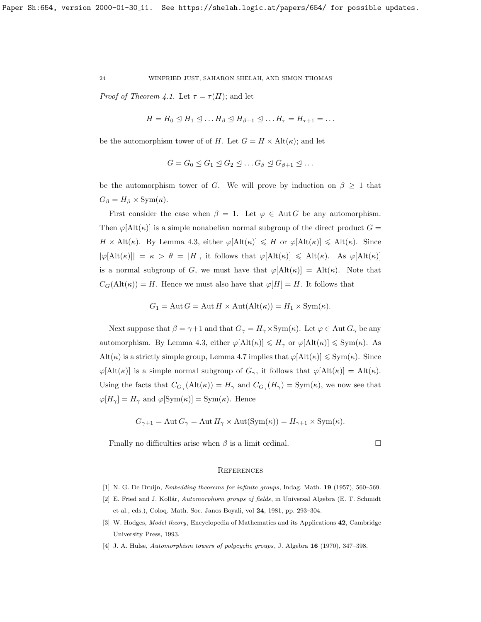*Proof of Theorem [4.1.](#page-21-0)* Let  $\tau = \tau(H)$ ; and let

$$
H = H_0 \trianglelefteq H_1 \trianglelefteq \ldots H_\beta \trianglelefteq H_{\beta+1} \trianglelefteq \ldots H_\tau = H_{\tau+1} = \ldots
$$

be the automorphism tower of of H. Let  $G = H \times Alt(\kappa)$ ; and let

$$
G = G_0 \trianglelefteq G_1 \trianglelefteq G_2 \trianglelefteq \ldots G_{\beta} \trianglelefteq G_{\beta+1} \trianglelefteq \ldots
$$

be the automorphism tower of G. We will prove by induction on  $\beta \geq 1$  that  $G_{\beta} = H_{\beta} \times \text{Sym}(\kappa).$ 

First consider the case when  $\beta = 1$ . Let  $\varphi \in \text{Aut } G$  be any automorphism. Then  $\varphi[\text{Alt}(\kappa)]$  is a simple nonabelian normal subgroup of the direct product  $G =$  $H \times Alt(\kappa)$ . By Lemma [4.3,](#page-21-1) either  $\varphi[Alt(\kappa)] \leq H$  or  $\varphi[Alt(\kappa)] \leq Alt(\kappa)$ . Since  $|\varphi[\text{Alt}(\kappa)]| = \kappa > \theta = |H|$ , it follows that  $\varphi[\text{Alt}(\kappa)] \leq \text{Alt}(\kappa)$ . As  $\varphi[\text{Alt}(\kappa)]$ is a normal subgroup of G, we must have that  $\varphi[\text{Alt}(\kappa)] = \text{Alt}(\kappa)$ . Note that  $C_G(\text{Alt}(\kappa)) = H$ . Hence we must also have that  $\varphi[H] = H$ . It follows that

$$
G_1 = \text{Aut } G = \text{Aut } H \times \text{Aut}(\text{Alt}(\kappa)) = H_1 \times \text{Sym}(\kappa).
$$

Next suppose that  $\beta = \gamma + 1$  and that  $G_{\gamma} = H_{\gamma} \times \text{Sym}(\kappa)$ . Let  $\varphi \in \text{Aut } G_{\gamma}$  be any automorphism. By Lemma [4.3,](#page-21-1) either  $\varphi[\text{Alt}(\kappa)] \leq H_{\gamma}$  or  $\varphi[\text{Alt}(\kappa)] \leq \text{Sym}(\kappa)$ . As Alt( $\kappa$ ) is a strictly simple group, Lemma [4.7](#page-22-0) implies that  $\varphi[\text{Alt}(\kappa)] \leq \text{Sym}(\kappa)$ . Since  $\varphi[\text{Alt}(\kappa)]$  is a simple normal subgroup of  $G_\gamma$ , it follows that  $\varphi[\text{Alt}(\kappa)] = \text{Alt}(\kappa)$ . Using the facts that  $C_{G_\gamma}(\text{Alt}(\kappa)) = H_\gamma$  and  $C_{G_\gamma}(H_\gamma) = \text{Sym}(\kappa)$ , we now see that  $\varphi[H_{\gamma}] = H_{\gamma}$  and  $\varphi[\mathrm{Sym}(\kappa)] = \mathrm{Sym}(\kappa)$ . Hence

$$
G_{\gamma+1} = \text{Aut } G_{\gamma} = \text{Aut } H_{\gamma} \times \text{Aut}(\text{Sym}(\kappa)) = H_{\gamma+1} \times \text{Sym}(\kappa).
$$

Finally no difficulties arise when  $\beta$  is a limit ordinal.

# **REFERENCES**

- <span id="page-23-2"></span>[1] N. G. De Bruijn, *Embedding theorems for infinite groups*, Indag. Math. **19** (1957), 560-569.
- <span id="page-23-1"></span>[2] E. Fried and J. Kollár, Automorphism groups of fields, in Universal Algebra (E. T. Schmidt et al., eds.), Coloq. Math. Soc. Janos Boyali, vol 24, 1981, pp. 293–304.
- <span id="page-23-3"></span>[3] W. Hodges, Model theory, Encyclopedia of Mathematics and its Applications 42, Cambridge University Press, 1993.
- <span id="page-23-0"></span>[4] J. A. Hulse, Automorphism towers of polycyclic groups, J. Algebra 16 (1970), 347–398.